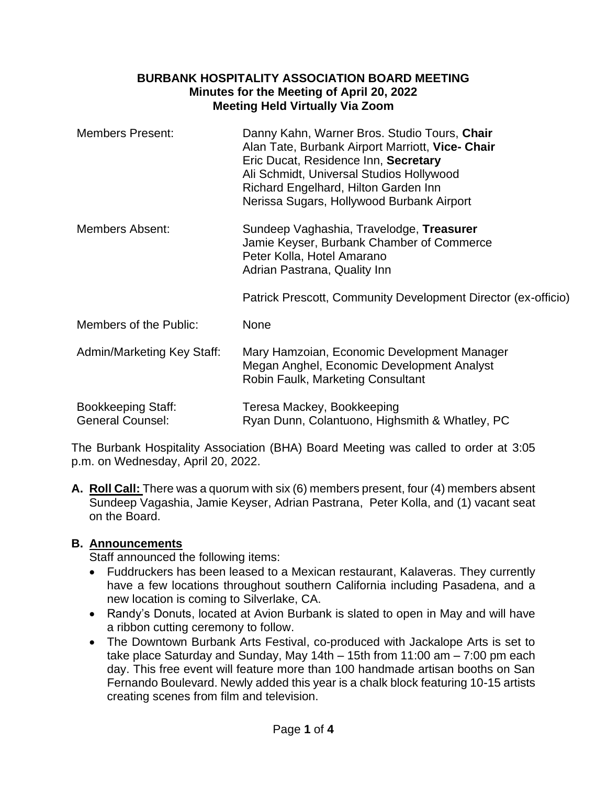### **BURBANK HOSPITALITY ASSOCIATION BOARD MEETING Minutes for the Meeting of April 20, 2022 Meeting Held Virtually Via Zoom**

| <b>Members Present:</b>                              | Danny Kahn, Warner Bros. Studio Tours, Chair<br>Alan Tate, Burbank Airport Marriott, Vice- Chair<br>Eric Ducat, Residence Inn, Secretary<br>Ali Schmidt, Universal Studios Hollywood<br>Richard Engelhard, Hilton Garden Inn<br>Nerissa Sugars, Hollywood Burbank Airport |
|------------------------------------------------------|---------------------------------------------------------------------------------------------------------------------------------------------------------------------------------------------------------------------------------------------------------------------------|
| <b>Members Absent:</b>                               | Sundeep Vaghashia, Travelodge, Treasurer<br>Jamie Keyser, Burbank Chamber of Commerce<br>Peter Kolla, Hotel Amarano<br>Adrian Pastrana, Quality Inn                                                                                                                       |
|                                                      | Patrick Prescott, Community Development Director (ex-officio)                                                                                                                                                                                                             |
| Members of the Public:                               | <b>None</b>                                                                                                                                                                                                                                                               |
| <b>Admin/Marketing Key Staff:</b>                    | Mary Hamzoian, Economic Development Manager<br>Megan Anghel, Economic Development Analyst<br>Robin Faulk, Marketing Consultant                                                                                                                                            |
| <b>Bookkeeping Staff:</b><br><b>General Counsel:</b> | Teresa Mackey, Bookkeeping<br>Ryan Dunn, Colantuono, Highsmith & Whatley, PC                                                                                                                                                                                              |

The Burbank Hospitality Association (BHA) Board Meeting was called to order at 3:05 p.m. on Wednesday, April 20, 2022.

**A. Roll Call:** There was a quorum with six (6) members present, four (4) members absent Sundeep Vagashia, Jamie Keyser, Adrian Pastrana, Peter Kolla, and (1) vacant seat on the Board.

### **B. Announcements**

Staff announced the following items:

- Fuddruckers has been leased to a Mexican restaurant, Kalaveras. They currently have a few locations throughout southern California including Pasadena, and a new location is coming to Silverlake, CA.
- Randy's Donuts, located at Avion Burbank is slated to open in May and will have a ribbon cutting ceremony to follow.
- The Downtown Burbank Arts Festival, co-produced with Jackalope Arts is set to take place Saturday and Sunday, May 14th – 15th from 11:00 am – 7:00 pm each day. This free event will feature more than 100 handmade artisan booths on San Fernando Boulevard. Newly added this year is a chalk block featuring 10-15 artists creating scenes from film and television.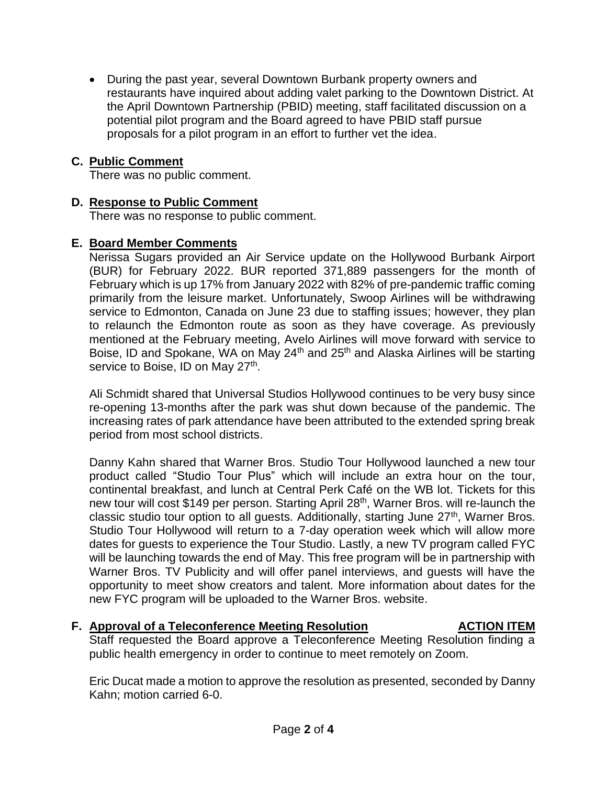• During the past year, several Downtown Burbank property owners and restaurants have inquired about adding valet parking to the Downtown District. At the April Downtown Partnership (PBID) meeting, staff facilitated discussion on a potential pilot program and the Board agreed to have PBID staff pursue proposals for a pilot program in an effort to further vet the idea.

### **C. Public Comment**

There was no public comment.

### **D. Response to Public Comment**

There was no response to public comment.

### **E. Board Member Comments**

Nerissa Sugars provided an Air Service update on the Hollywood Burbank Airport (BUR) for February 2022. BUR reported 371,889 passengers for the month of February which is up 17% from January 2022 with 82% of pre-pandemic traffic coming primarily from the leisure market. Unfortunately, Swoop Airlines will be withdrawing service to Edmonton, Canada on June 23 due to staffing issues; however, they plan to relaunch the Edmonton route as soon as they have coverage. As previously mentioned at the February meeting, Avelo Airlines will move forward with service to Boise, ID and Spokane, WA on May 24<sup>th</sup> and 25<sup>th</sup> and Alaska Airlines will be starting service to Boise, ID on May 27<sup>th</sup>.

Ali Schmidt shared that Universal Studios Hollywood continues to be very busy since re-opening 13-months after the park was shut down because of the pandemic. The increasing rates of park attendance have been attributed to the extended spring break period from most school districts.

Danny Kahn shared that Warner Bros. Studio Tour Hollywood launched a new tour product called "Studio Tour Plus" which will include an extra hour on the tour, continental breakfast, and lunch at Central Perk Café on the WB lot. Tickets for this new tour will cost \$149 per person. Starting April 28<sup>th</sup>, Warner Bros. will re-launch the classic studio tour option to all guests. Additionally, starting June 27<sup>th</sup>, Warner Bros. Studio Tour Hollywood will return to a 7-day operation week which will allow more dates for guests to experience the Tour Studio. Lastly, a new TV program called FYC will be launching towards the end of May. This free program will be in partnership with Warner Bros. TV Publicity and will offer panel interviews, and guests will have the opportunity to meet show creators and talent. More information about dates for the new FYC program will be uploaded to the Warner Bros. website.

### **F.** Approval of a Teleconference Meeting Resolution MECTION ITEM

Staff requested the Board approve a Teleconference Meeting Resolution finding a public health emergency in order to continue to meet remotely on Zoom.

Eric Ducat made a motion to approve the resolution as presented, seconded by Danny Kahn; motion carried 6-0.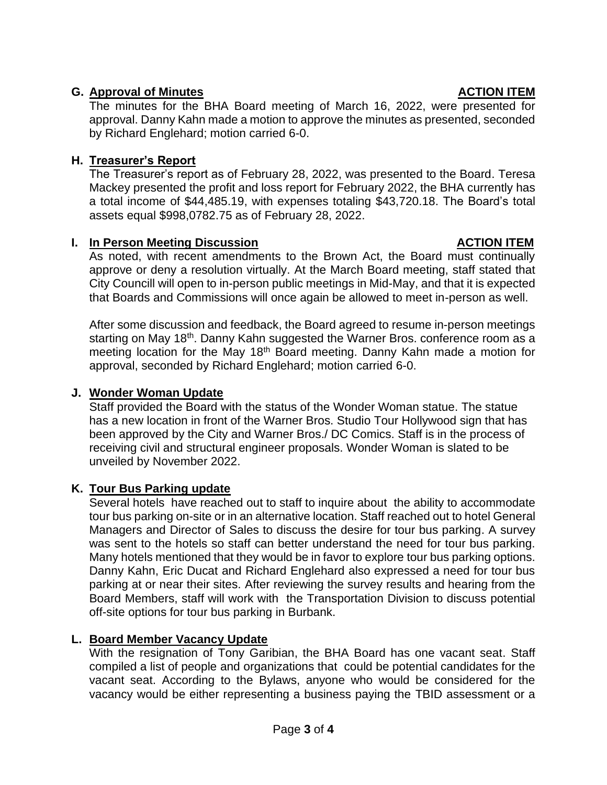## **G.** Approval of Minutes **ACTION ITEM**

The minutes for the BHA Board meeting of March 16, 2022, were presented for approval. Danny Kahn made a motion to approve the minutes as presented, seconded by Richard Englehard; motion carried 6-0.

# **H. Treasurer's Report**

The Treasurer's report as of February 28, 2022, was presented to the Board. Teresa Mackey presented the profit and loss report for February 2022, the BHA currently has a total income of \$44,485.19, with expenses totaling \$43,720.18. The Board's total assets equal \$998,0782.75 as of February 28, 2022.

## **I.** In Person Meeting Discussion **ACTION ITEM**

As noted, with recent amendments to the Brown Act, the Board must continually approve or deny a resolution virtually. At the March Board meeting, staff stated that City Councill will open to in-person public meetings in Mid-May, and that it is expected that Boards and Commissions will once again be allowed to meet in-person as well.

After some discussion and feedback, the Board agreed to resume in-person meetings starting on May 18<sup>th</sup>. Danny Kahn suggested the Warner Bros. conference room as a meeting location for the May 18<sup>th</sup> Board meeting. Danny Kahn made a motion for approval, seconded by Richard Englehard; motion carried 6-0.

## **J. Wonder Woman Update**

Staff provided the Board with the status of the Wonder Woman statue. The statue has a new location in front of the Warner Bros. Studio Tour Hollywood sign that has been approved by the City and Warner Bros./ DC Comics. Staff is in the process of receiving civil and structural engineer proposals. Wonder Woman is slated to be unveiled by November 2022.

# **K. Tour Bus Parking update**

Several hotels have reached out to staff to inquire about the ability to accommodate tour bus parking on-site or in an alternative location. Staff reached out to hotel General Managers and Director of Sales to discuss the desire for tour bus parking. A survey was sent to the hotels so staff can better understand the need for tour bus parking. Many hotels mentioned that they would be in favor to explore tour bus parking options. Danny Kahn, Eric Ducat and Richard Englehard also expressed a need for tour bus parking at or near their sites. After reviewing the survey results and hearing from the Board Members, staff will work with the Transportation Division to discuss potential off-site options for tour bus parking in Burbank.

# **L. Board Member Vacancy Update**

With the resignation of Tony Garibian, the BHA Board has one vacant seat. Staff compiled a list of people and organizations that could be potential candidates for the vacant seat. According to the Bylaws, anyone who would be considered for the vacancy would be either representing a business paying the TBID assessment or a